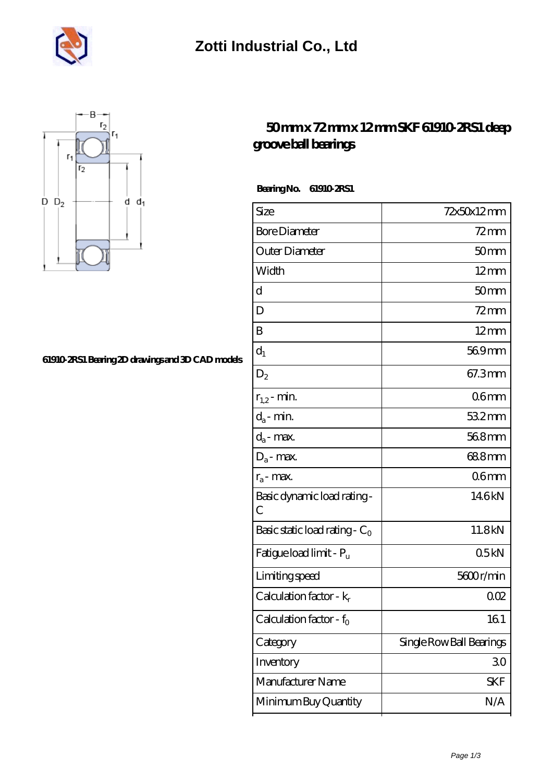



## **[61910-2RS1 Bearing 2D drawings and 3D CAD models](https://m.musik-graz.net/pic-41035.html)**

## **[50 mm x 72 mm x 12 mm SKF 61910-2RS1 deep](https://m.musik-graz.net/am-41035-skf-61910-2rs1-deep-groove-ball-bearings.html) [groove ball bearings](https://m.musik-graz.net/am-41035-skf-61910-2rs1-deep-groove-ball-bearings.html)**

 **Bearing No. 61910-2RS1**

| Size                             | 72x50x12mm               |
|----------------------------------|--------------------------|
| <b>Bore Diameter</b>             | $72$ mm                  |
| Outer Diameter                   | 50 <sub>mm</sub>         |
| Width                            | $12 \text{mm}$           |
| d                                | 50 <sub>mm</sub>         |
| D                                | $72$ mm                  |
| B                                | $12 \text{mm}$           |
| $d_1$                            | 569mm                    |
| $D_2$                            | 67.3mm                   |
| $r_{1,2}$ - min.                 | 06mm                     |
| $d_a$ - min.                     | $532$ mm                 |
| $d_a$ - max.                     | 568mm                    |
| $D_a$ - max.                     | 688mm                    |
| $r_a$ - max.                     | 06 <sub>mm</sub>         |
| Basic dynamic load rating -<br>С | 146kN                    |
| Basic static load rating - $C_0$ | 11.8kN                   |
| Fatigue load limit - Pu          | 05kN                     |
| Limiting speed                   | 5600r/min                |
| Calculation factor - $k_r$       | 002                      |
| Calculation factor - $f_0$       | 161                      |
| Category                         | Single Row Ball Bearings |
| Inventory                        | 30                       |
| Manufacturer Name                | SKF                      |
| Minimum Buy Quantity             | N/A                      |
|                                  |                          |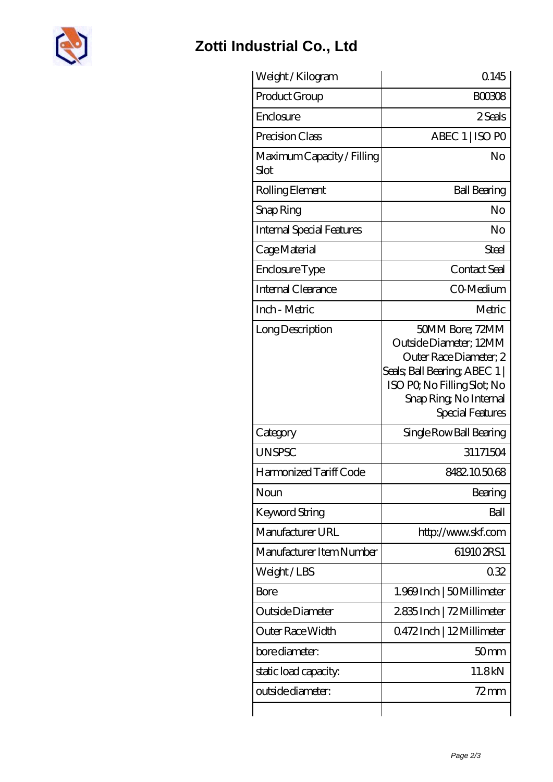

## **[Zotti Industrial Co., Ltd](https://m.musik-graz.net)**

| Weight /Kilogram                   | 0.145                                                                                                                                                                             |
|------------------------------------|-----------------------------------------------------------------------------------------------------------------------------------------------------------------------------------|
| Product Group                      | <b>BOO3O8</b>                                                                                                                                                                     |
| Enclosure                          | 2 Seals                                                                                                                                                                           |
| Precision Class                    | ABEC 1   ISO PO                                                                                                                                                                   |
| Maximum Capacity / Filling<br>Slot | No                                                                                                                                                                                |
| Rolling Element                    | <b>Ball Bearing</b>                                                                                                                                                               |
| Snap Ring                          | No                                                                                                                                                                                |
| <b>Internal Special Features</b>   | No                                                                                                                                                                                |
| Cage Material                      | Steel                                                                                                                                                                             |
| Enclosure Type                     | Contact Seal                                                                                                                                                                      |
| Internal Clearance                 | C0-Medium                                                                                                                                                                         |
| Inch - Metric                      | Metric                                                                                                                                                                            |
| Long Description                   | 50MM Bore; 72MM<br>Outside Diameter; 12MM<br>Outer Race Diameter; 2<br>Seals; Ball Bearing; ABEC 1  <br>ISO PO, No Filling Slot; No<br>Snap Ring, No Internal<br>Special Features |
| Category                           | Single Row Ball Bearing                                                                                                                                                           |
| <b>UNSPSC</b>                      | 31171504                                                                                                                                                                          |
| Harmonized Tariff Code             | 8482105068                                                                                                                                                                        |
| Noun                               | Bearing                                                                                                                                                                           |
| Keyword String                     | Ball                                                                                                                                                                              |
| Manufacturer URL                   | http://www.skf.com                                                                                                                                                                |
| Manufacturer Item Number           | 619102RS1                                                                                                                                                                         |
| Weight/LBS                         | 032                                                                                                                                                                               |
| <b>Bore</b>                        | 1.969 Inch   50 Millimeter                                                                                                                                                        |
| Outside Diameter                   | 2835Inch   72 Millimeter                                                                                                                                                          |
| Outer Race Width                   | 0.472 Inch   12 Millimeter                                                                                                                                                        |
| bore diameter:                     | 50 <sub>mm</sub>                                                                                                                                                                  |
| static load capacity.              | 11.8kN                                                                                                                                                                            |
|                                    |                                                                                                                                                                                   |